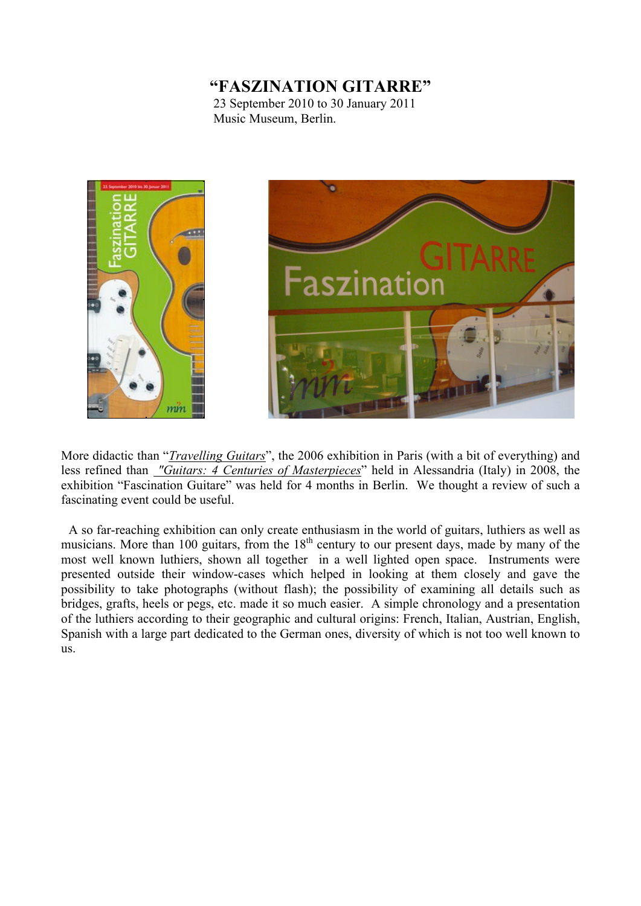## **"FASZINATION GITARRE"**

23 September 2010 to 30 January 2011 Music Museum, Berlin.



More didactic than "*Travelling Guitars*", the 2006 exhibition in Paris (with a bit of everything) and less refined than *"Guitars: 4 Centuries of Masterpieces*" held in Alessandria (Italy) in 2008, the exhibition "Fascination Guitare" was held for 4 months in Berlin. We thought a review of such a fascinating event could be useful.

 A so far-reaching exhibition can only create enthusiasm in the world of guitars, luthiers as well as musicians. More than 100 guitars, from the 18<sup>th</sup> century to our present days, made by many of the most well known luthiers, shown all together in a well lighted open space. Instruments were presented outside their window-cases which helped in looking at them closely and gave the possibility to take photographs (without flash); the possibility of examining all details such as bridges, grafts, heels or pegs, etc. made it so much easier. A simple chronology and a presentation of the luthiers according to their geographic and cultural origins: French, Italian, Austrian, English, Spanish with a large part dedicated to the German ones, diversity of which is not too well known to us.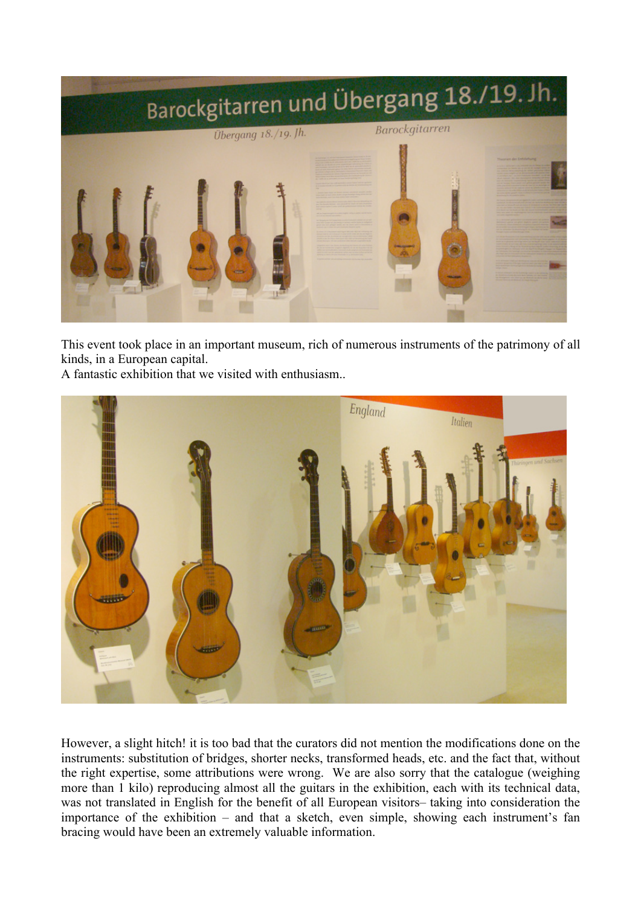

This event took place in an important museum, rich of numerous instruments of the patrimony of all kinds, in a European capital.

A fantastic exhibition that we visited with enthusiasm..



However, a slight hitch! it is too bad that the curators did not mention the modifications done on the instruments: substitution of bridges, shorter necks, transformed heads, etc. and the fact that, without the right expertise, some attributions were wrong. We are also sorry that the catalogue (weighing more than 1 kilo) reproducing almost all the guitars in the exhibition, each with its technical data, was not translated in English for the benefit of all European visitors– taking into consideration the importance of the exhibition – and that a sketch, even simple, showing each instrument's fan bracing would have been an extremely valuable information.